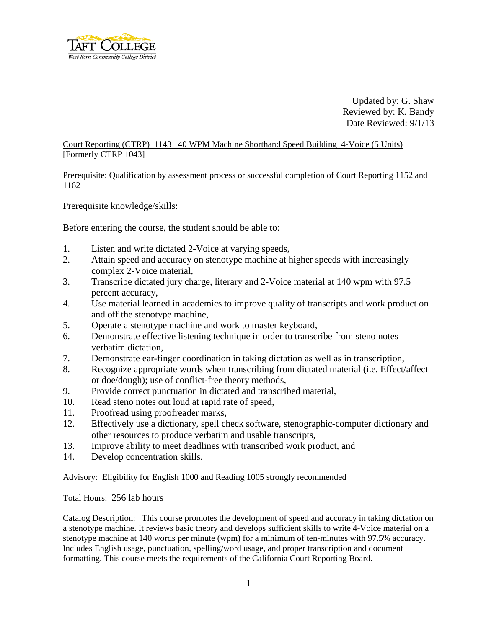

Updated by: G. Shaw Reviewed by: K. Bandy Date Reviewed: 9/1/13

Court Reporting (CTRP) 1143 140 WPM Machine Shorthand Speed Building 4-Voice (5 Units) [Formerly CTRP 1043]

Prerequisite: Qualification by assessment process or successful completion of Court Reporting 1152 and 1162

Prerequisite knowledge/skills:

Before entering the course, the student should be able to:

- 1. Listen and write dictated 2-Voice at varying speeds,
- 2. Attain speed and accuracy on stenotype machine at higher speeds with increasingly complex 2-Voice material,
- 3. Transcribe dictated jury charge, literary and 2-Voice material at 140 wpm with 97.5 percent accuracy,
- 4. Use material learned in academics to improve quality of transcripts and work product on and off the stenotype machine,
- 5. Operate a stenotype machine and work to master keyboard,
- 6. Demonstrate effective listening technique in order to transcribe from steno notes verbatim dictation,
- 7. Demonstrate ear-finger coordination in taking dictation as well as in transcription,
- 8. Recognize appropriate words when transcribing from dictated material (i.e. Effect/affect or doe/dough); use of conflict-free theory methods,
- 9. Provide correct punctuation in dictated and transcribed material,
- 10. Read steno notes out loud at rapid rate of speed,
- 11. Proofread using proofreader marks,
- 12. Effectively use a dictionary, spell check software, stenographic-computer dictionary and other resources to produce verbatim and usable transcripts,
- 13. Improve ability to meet deadlines with transcribed work product, and
- 14. Develop concentration skills.

Advisory: Eligibility for English 1000 and Reading 1005 strongly recommended

Total Hours: 256 lab hours

Catalog Description: This course promotes the development of speed and accuracy in taking dictation on a stenotype machine. It reviews basic theory and develops sufficient skills to write 4-Voice material on a stenotype machine at 140 words per minute (wpm) for a minimum of ten-minutes with 97.5% accuracy. Includes English usage, punctuation, spelling/word usage, and proper transcription and document formatting. This course meets the requirements of the California Court Reporting Board.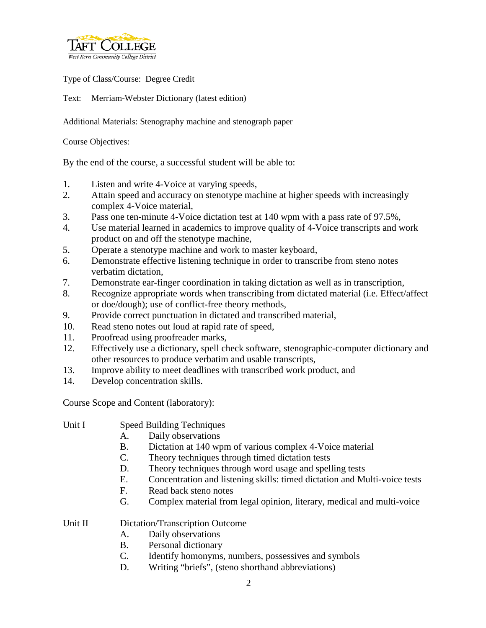

Type of Class/Course: Degree Credit

Text: Merriam-Webster Dictionary (latest edition)

Additional Materials: Stenography machine and stenograph paper

Course Objectives:

By the end of the course, a successful student will be able to:

- 1. Listen and write 4-Voice at varying speeds,
- 2. Attain speed and accuracy on stenotype machine at higher speeds with increasingly complex 4-Voice material,
- 3. Pass one ten-minute 4-Voice dictation test at 140 wpm with a pass rate of 97.5%,
- 4. Use material learned in academics to improve quality of 4-Voice transcripts and work product on and off the stenotype machine,
- 5. Operate a stenotype machine and work to master keyboard,
- 6. Demonstrate effective listening technique in order to transcribe from steno notes verbatim dictation,
- 7. Demonstrate ear-finger coordination in taking dictation as well as in transcription,
- 8. Recognize appropriate words when transcribing from dictated material (i.e. Effect/affect or doe/dough); use of conflict-free theory methods,
- 9. Provide correct punctuation in dictated and transcribed material,
- 10. Read steno notes out loud at rapid rate of speed,
- 11. Proofread using proofreader marks,
- 12. Effectively use a dictionary, spell check software, stenographic-computer dictionary and other resources to produce verbatim and usable transcripts,
- 13. Improve ability to meet deadlines with transcribed work product, and
- 14. Develop concentration skills.

Course Scope and Content (laboratory):

- Unit I Speed Building Techniques A. Daily observations
	-
	- B. Dictation at 140 wpm of various complex 4-Voice material
	- C. Theory techniques through timed dictation tests
	- D. Theory techniques through word usage and spelling tests
	- E. Concentration and listening skills: timed dictation and Multi-voice tests
	- F. Read back steno notes
	- G. Complex material from legal opinion, literary, medical and multi-voice

Unit II Dictation/Transcription Outcome

- A. Daily observations
- B. Personal dictionary
- C. Identify homonyms, numbers, possessives and symbols
- D. Writing "briefs", (steno shorthand abbreviations)